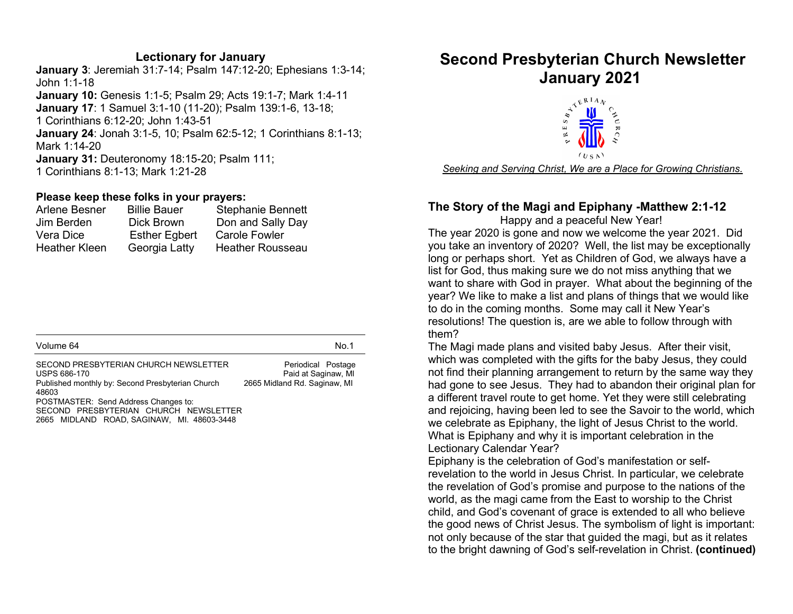#### Lectionary for January

January 3: Jeremiah 31:7-14; Psalm 147:12-20; Ephesians 1:3-14; John 1:1-18 January 10: Genesis 1:1-5; Psalm 29; Acts 19:1-7; Mark 1:4-11 January 17: 1 Samuel 3:1-10 (11-20); Psalm 139:1-6, 13-18; 1 Corinthians 6:12-20; John 1:43-51 January 24: Jonah 3:1-5, 10; Psalm 62:5-12; 1 Corinthians 8:1-13; Mark 1:14-20 January 31: Deuteronomy 18:15-20; Psalm 111; 1 Corinthians 8:1-13; Mark 1:21-28

#### Please keep these folks in your prayers:

| Arlene Besner        | <b>Billie Bauer</b>  | <b>Stephanie Bennett</b> |
|----------------------|----------------------|--------------------------|
| Jim Berden           | Dick Brown           | Don and Sally Day        |
| Vera Dice            | <b>Esther Egbert</b> | <b>Carole Fowler</b>     |
| <b>Heather Kleen</b> | Georgia Latty        | <b>Heather Rousseau</b>  |

| Volume 64                                                                                                                                                                                                                                         | No.1                                                                      |
|---------------------------------------------------------------------------------------------------------------------------------------------------------------------------------------------------------------------------------------------------|---------------------------------------------------------------------------|
| SECOND PRESBYTERIAN CHURCH NEWSLETTER<br>USPS 686-170<br>Published monthly by: Second Presbyterian Church<br>48603<br>POSTMASTER: Send Address Changes to:<br>SECOND PRESBYTERIAN CHURCH NEWSLETTER<br>2665 MIDLAND ROAD, SAGINAW, MI. 48603-3448 | Periodical Postage<br>Paid at Saginaw, MI<br>2665 Midland Rd. Saginaw, MI |

# Second Presbyterian Church Newsletter



Seeking and Serving Christ, We are a Place for Growing Christians.

#### The Story of the Magi and Epiphany -Matthew 2:1-12

 Happy and a peaceful New Year! The year 2020 is gone and now we welcome the year 2021. Did you take an inventory of 2020? Well, the list may be exceptionally long or perhaps short. Yet as Children of God, we always have a list for God, thus making sure we do not miss anything that we want to share with God in prayer. What about the beginning of the year? We like to make a list and plans of things that we would like to do in the coming months. Some may call it New Year's resolutions! The question is, are we able to follow through with them?

The Magi made plans and visited baby Jesus. After their visit, which was completed with the gifts for the baby Jesus, they could not find their planning arrangement to return by the same way they had gone to see Jesus. They had to abandon their original plan for a different travel route to get home. Yet they were still celebrating and rejoicing, having been led to see the Savoir to the world, which we celebrate as Epiphany, the light of Jesus Christ to the world. What is Epiphany and why it is important celebration in the Lectionary Calendar Year?

Epiphany is the celebration of God's manifestation or selfrevelation to the world in Jesus Christ. In particular, we celebrate the revelation of God's promise and purpose to the nations of the world, as the magi came from the East to worship to the Christ child, and God's covenant of grace is extended to all who believe the good news of Christ Jesus. The symbolism of light is important: not only because of the star that guided the magi, but as it relates to the bright dawning of God's self-revelation in Christ. (continued)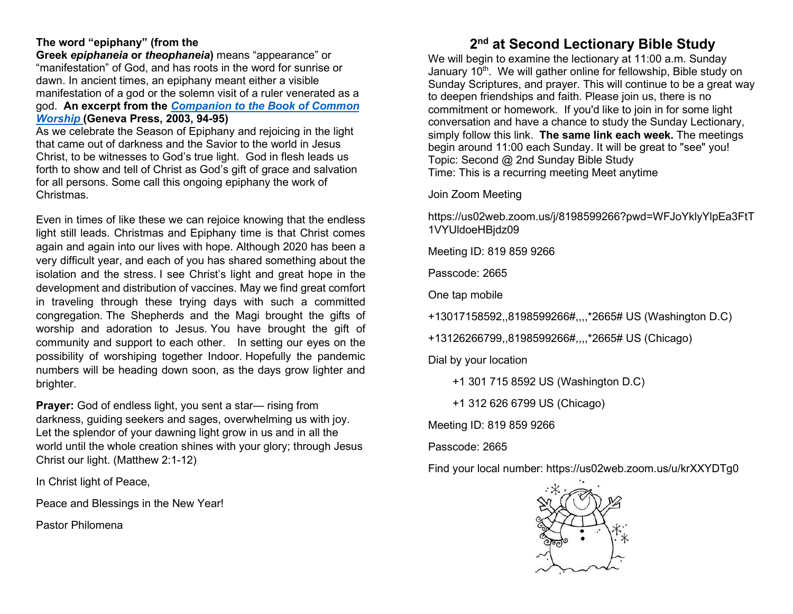#### The word "epiphany" (from the

Greek epiphaneia or theophaneia) means "appearance" or "manifestation" of God, and has roots in the word for sunrise or dawn. In ancient times, an epiphany meant either a visible manifestation of a god or the solemn visit of a ruler venerated as a god. An excerpt from the Companion to the Book of Common Worship (Geneva Press, 2003, 94-95)

As we celebrate the Season of Epiphany and rejoicing in the light that came out of darkness and the Savior to the world in Jesus Christ, to be witnesses to God's true light. God in flesh leads us forth to show and tell of Christ as God's gift of grace and salvation for all persons. Some call this ongoing epiphany the work of Christmas.

Even in times of like these we can rejoice knowing that the endless light still leads. Christmas and Epiphany time is that Christ comes again and again into our lives with hope. Although 2020 has been a very difficult year, and each of you has shared something about the isolation and the stress. I see Christ's light and great hope in the development and distribution of vaccines. May we find great comfort in traveling through these trying days with such a committed congregation. The Shepherds and the Magi brought the gifts of worship and adoration to Jesus. You have brought the gift of community and support to each other. In setting our eyes on the possibility of worshiping together Indoor. Hopefully the pandemic numbers will be heading down soon, as the days grow lighter and brighter.

Prayer: God of endless light, you sent a star— rising from darkness, guiding seekers and sages, overwhelming us with joy. Let the splendor of your dawning light grow in us and in all the world until the whole creation shines with your glory; through Jesus Christ our light. (Matthew 2:1-12)

In Christ light of Peace,

Peace and Blessings in the New Year!

Pastor Philomena

### 2<sup>nd</sup> at Second Lectionary Bible Study

We will begin to examine the lectionary at 11:00 a.m. Sunday January 10<sup>th</sup>. We will gather online for fellowship. Bible study on Sunday Scriptures, and prayer. This will continue to be a great way to deepen friendships and faith. Please join us, there is no commitment or homework. If you'd like to join in for some light conversation and have a chance to study the Sunday Lectionary, simply follow this link. The same link each week. The meetings begin around 11:00 each Sunday. It will be great to "see" you! Topic: Second @ 2nd Sunday Bible Study Time: This is a recurring meeting Meet anytime

Join Zoom Meeting

https://us02web.zoom.us/j/8198599266?pwd=WFJoYklyYlpEa3FtT 1VYUldoeHBjdz09

Meeting ID: 819 859 9266

Passcode: 2665

One tap mobile

+13017158592,,8198599266#,,,,\*2665# US (Washington D.C)

+13126266799,,8198599266#,,,,\*2665# US (Chicago)

Dial by your location

+1 301 715 8592 US (Washington D.C)

+1 312 626 6799 US (Chicago)

Meeting ID: 819 859 9266

Passcode: 2665

Find your local number: https://us02web.zoom.us/u/krXXYDTg0

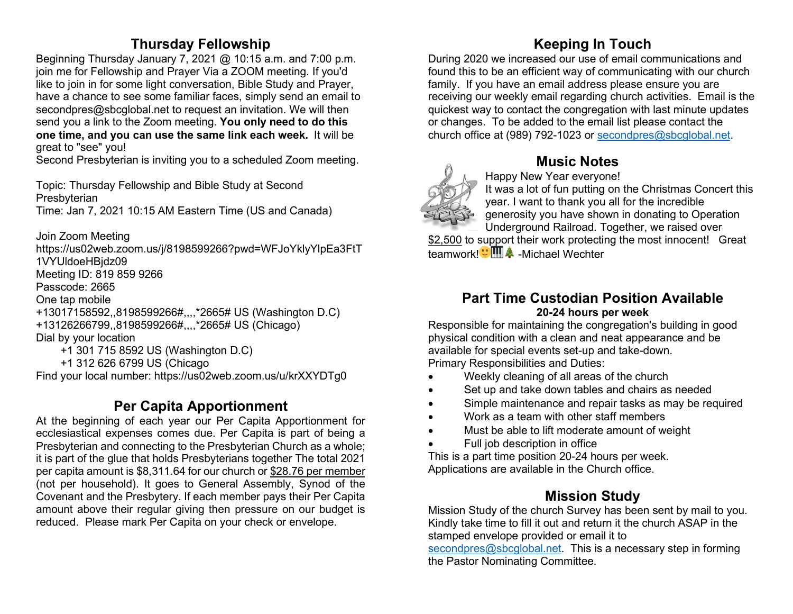## Thursday Fellowship

Beginning Thursday January 7, 2021 @ 10:15 a.m. and 7:00 p.m. join me for Fellowship and Prayer Via a ZOOM meeting. If you'd like to join in for some light conversation, Bible Study and Prayer, have a chance to see some familiar faces, simply send an email to secondpres@sbcglobal.net to request an invitation. We will then send you a link to the Zoom meeting. You only need to do this one time, and you can use the same link each week. It will be great to "see" you!

Second Presbyterian is inviting you to a scheduled Zoom meeting.

Topic: Thursday Fellowship and Bible Study at Second Presbyterian Time: Jan 7, 2021 10:15 AM Eastern Time (US and Canada)

Join Zoom Meeting

https://us02web.zoom.us/j/8198599266?pwd=WFJoYklyYlpEa3FtT 1VYUldoeHBjdz09 Meeting ID: 819 859 9266 Passcode: 2665 One tap mobile +13017158592,,8198599266#,,,,\*2665# US (Washington D.C) +13126266799,,8198599266#,,,,\*2665# US (Chicago) Dial by your location

+1 301 715 8592 US (Washington D.C)

+1 312 626 6799 US (Chicago

Find your local number: https://us02web.zoom.us/u/krXXYDTg0

## Per Capita Apportionment

At the beginning of each year our Per Capita Apportionment for ecclesiastical expenses comes due. Per Capita is part of being a Presbyterian and connecting to the Presbyterian Church as a whole; it is part of the glue that holds Presbyterians together The total 2021 per capita amount is \$8,311.64 for our church or \$28.76 per member (not per household). It goes to General Assembly, Synod of the Covenant and the Presbytery. If each member pays their Per Capita amount above their regular giving then pressure on our budget is reduced. Please mark Per Capita on your check or envelope.

# Keeping In Touch

During 2020 we increased our use of email communications and found this to be an efficient way of communicating with our church family. If you have an email address please ensure you are receiving our weekly email regarding church activities. Email is the quickest way to contact the congregation with last minute updates or changes. To be added to the email list please contact the church office at (989) 792-1023 or secondpres@sbcglobal.net.



## Music Notes

Happy New Year everyone!

It was a lot of fun putting on the Christmas Concert this year. I want to thank you all for the incredible generosity you have shown in donating to Operation Underground Railroad. Together, we raised over

\$2,500 to support their work protecting the most innocent! Great teamwork! "**MA** -Michael Wechter

#### Part Time Custodian Position Available 20-24 hours per week

Responsible for maintaining the congregation's building in good physical condition with a clean and neat appearance and be available for special events set-up and take-down. Primary Responsibilities and Duties:

- Weekly cleaning of all areas of the church
- Set up and take down tables and chairs as needed
- Simple maintenance and repair tasks as may be required
- Work as a team with other staff members
- Must be able to lift moderate amount of weight
- Full job description in office

This is a part time position 20-24 hours per week. Applications are available in the Church office.

# Mission Study

Mission Study of the church Survey has been sent by mail to you. Kindly take time to fill it out and return it the church ASAP in the stamped envelope provided or email it to

secondpres@sbcglobal.net. This is a necessary step in forming the Pastor Nominating Committee.